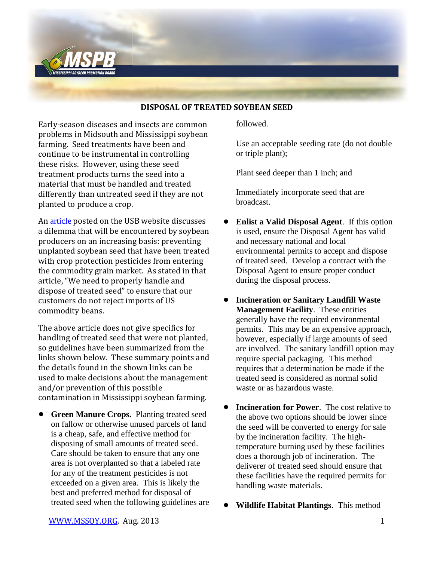

## **DISPOSAL OF TREATED SOYBEAN SEED**

Early-season diseases and insects are common problems in Midsouth and Mississippi soybean farming. Seed treatments have been and continue to be instrumental in controlling these risks. However, using these seed treatment products turns the seed into a material that must be handled and treated differently than untreated seed if they are not planted to produce a crop.

An [article](http://www.unitedsoybean.org/article/editorial-a-few-extra-steps-for-soybean-farmers-one-big-step-for-soybean-quality/) posted on the USB website discusses a dilemma that will be encountered by soybean producers on an increasing basis: preventing unplanted soybean seed that have been treated with crop protection pesticides from entering the commodity grain market. As stated in that article, "We need to properly handle and dispose of treated seed" to ensure that our customers do not reject imports of US commodity beans.

The above article does not give specifics for handling of treated seed that were not planted, so guidelines have been summarized from the links shown below. These summary points and the details found in the shown links can be used to make decisions about the management and/or prevention of this possible contamination in Mississippi soybean farming.

! **Green Manure Crops.** Planting treated seed on fallow or otherwise unused parcels of land is a cheap, safe, and effective method for disposing of small amounts of treated seed. Care should be taken to ensure that any one area is not overplanted so that a labeled rate for any of the treatment pesticides is not exceeded on a given area. This is likely the best and preferred method for disposal of treated seed when the following guidelines are followed.

Use an acceptable seeding rate (do not double or triple plant);

Plant seed deeper than 1 inch; and

Immediately incorporate seed that are broadcast.

- ! **Enlist a Valid Disposal Agent**. If this option is used, ensure the Disposal Agent has valid and necessary national and local environmental permits to accept and dispose of treated seed. Develop a contract with the Disposal Agent to ensure proper conduct during the disposal process.
- ! **Incineration or Sanitary Landfill Waste Management Facility**. These entities generally have the required environmental permits. This may be an expensive approach, however, especially if large amounts of seed are involved. The sanitary landfill option may require special packaging. This method requires that a determination be made if the treated seed is considered as normal solid waste or as hazardous waste.
- **Incineration for Power**. The cost relative to the above two options should be lower since the seed will be converted to energy for sale by the incineration facility. The hightemperature burning used by these facilities does a thorough job of incineration. The deliverer of treated seed should ensure that these facilities have the required permits for handling waste materials.
- ! **Wildlife Habitat Plantings**. This method

[WWW.MSSOY.ORG.](http://www.mssoy.org/) Aug. 2013 1